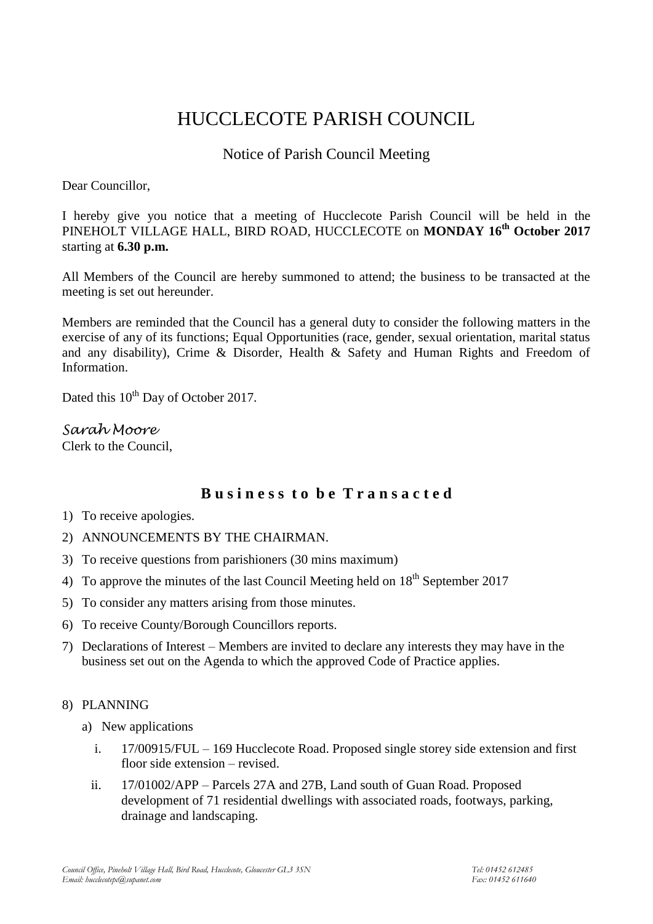# HUCCLECOTE PARISH COUNCIL

## Notice of Parish Council Meeting

Dear Councillor,

I hereby give you notice that a meeting of Hucclecote Parish Council will be held in the PINEHOLT VILLAGE HALL, BIRD ROAD, HUCCLECOTE on **MONDAY 16 th October 2017** starting at **6.30 p.m.**

All Members of the Council are hereby summoned to attend; the business to be transacted at the meeting is set out hereunder.

Members are reminded that the Council has a general duty to consider the following matters in the exercise of any of its functions; Equal Opportunities (race, gender, sexual orientation, marital status and any disability), Crime & Disorder, Health & Safety and Human Rights and Freedom of Information.

Dated this 10<sup>th</sup> Day of October 2017.

### *Sarah Moore*

Clerk to the Council,

## **B u s i n e s s t o b e T r a n s a c t e d**

- 1) To receive apologies.
- 2) ANNOUNCEMENTS BY THE CHAIRMAN.
- 3) To receive questions from parishioners (30 mins maximum)
- 4) To approve the minutes of the last Council Meeting held on  $18<sup>th</sup>$  September 2017
- 5) To consider any matters arising from those minutes.
- 6) To receive County/Borough Councillors reports.
- 7) Declarations of Interest Members are invited to declare any interests they may have in the business set out on the Agenda to which the approved Code of Practice applies.
- 8) PLANNING
	- a) New applications
		- i. 17/00915/FUL 169 Hucclecote Road. Proposed single storey side extension and first floor side extension – revised.
		- ii. 17/01002/APP Parcels 27A and 27B, Land south of Guan Road. Proposed development of 71 residential dwellings with associated roads, footways, parking, drainage and landscaping.